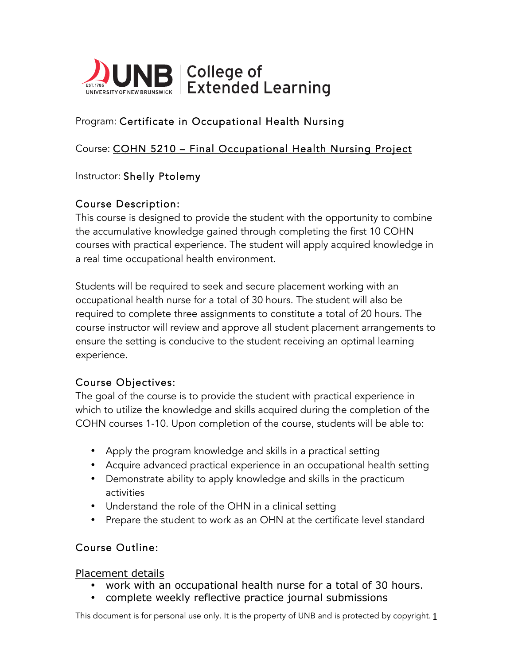

# Program: Certificate in Occupational Health Nursing

## Course: COHN 5210 – Final Occupational Health Nursing Project

## Instructor: Shelly Ptolemy

## Course Description:

This course is designed to provide the student with the opportunity to combine the accumulative knowledge gained through completing the first 10 COHN courses with practical experience. The student will apply acquired knowledge in a real time occupational health environment.

Students will be required to seek and secure placement working with an occupational health nurse for a total of 30 hours. The student will also be required to complete three assignments to constitute a total of 20 hours. The course instructor will review and approve all student placement arrangements to ensure the setting is conducive to the student receiving an optimal learning experience.

#### Course Objectives:

The goal of the course is to provide the student with practical experience in which to utilize the knowledge and skills acquired during the completion of the COHN courses 1-10. Upon completion of the course, students will be able to:

- Apply the program knowledge and skills in a practical setting
- Acquire advanced practical experience in an occupational health setting
- Demonstrate ability to apply knowledge and skills in the practicum activities
- Understand the role of the OHN in a clinical setting
- Prepare the student to work as an OHN at the certificate level standard

#### Course Outline:

Placement details

- work with an occupational health nurse for a total of 30 hours.
- complete weekly reflective practice journal submissions

This document is for personal use only. It is the property of UNB and is protected by copyright. 1